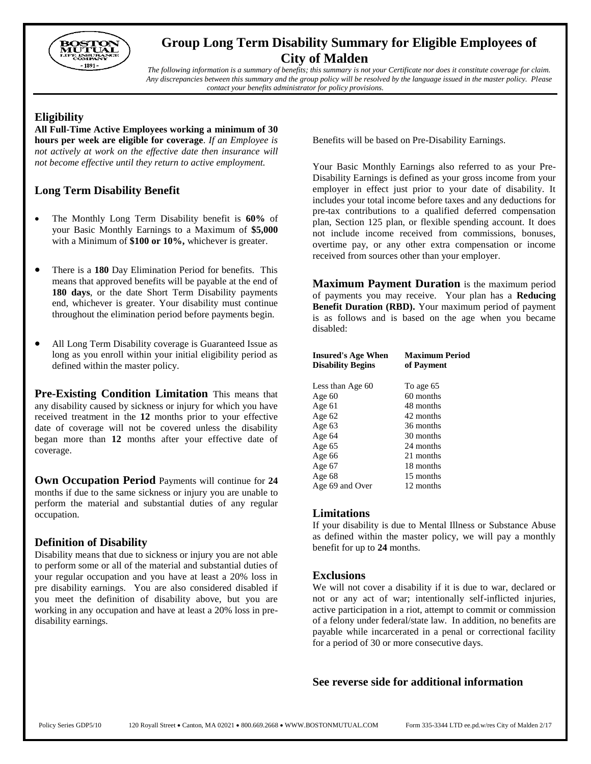

# **Group Long Term Disability Summary for Eligible Employees of City of Malden**

*The following information is a summary of benefits; this summary is not your Certificate nor does it constitute coverage for claim. Any discrepancies between this summary and the group policy will be resolved by the language issued in the master policy. Please contact your benefits administrator for policy provisions.*

## **Eligibility**

**All Full-Time Active Employees working a minimum of 30 hours per week are eligible for coverage**. *If an Employee is not actively at work on the effective date then insurance will not become effective until they return to active employment.*

# **Long Term Disability Benefit**

- The Monthly Long Term Disability benefit is **60%** of your Basic Monthly Earnings to a Maximum of **\$5,000** with a Minimum of **\$100 or 10%,** whichever is greater.
- There is a **180** Day Elimination Period for benefits. This means that approved benefits will be payable at the end of **180 days**, or the date Short Term Disability payments end, whichever is greater. Your disability must continue throughout the elimination period before payments begin.
- All Long Term Disability coverage is Guaranteed Issue as long as you enroll within your initial eligibility period as defined within the master policy.

**Pre-Existing Condition Limitation** This means that any disability caused by sickness or injury for which you have received treatment in the **12** months prior to your effective date of coverage will not be covered unless the disability began more than **12** months after your effective date of coverage.

**Own Occupation Period** Payments will continue for **24** months if due to the same sickness or injury you are unable to perform the material and substantial duties of any regular occupation.

## **Definition of Disability**

Disability means that due to sickness or injury you are not able to perform some or all of the material and substantial duties of your regular occupation and you have at least a 20% loss in pre disability earnings. You are also considered disabled if you meet the definition of disability above, but you are working in any occupation and have at least a 20% loss in predisability earnings.

Benefits will be based on Pre-Disability Earnings.

Your Basic Monthly Earnings also referred to as your Pre-Disability Earnings is defined as your gross income from your employer in effect just prior to your date of disability. It includes your total income before taxes and any deductions for pre-tax contributions to a qualified deferred compensation plan, Section 125 plan, or flexible spending account. It does not include income received from commissions, bonuses, overtime pay, or any other extra compensation or income received from sources other than your employer.

**Maximum Payment Duration** is the maximum period of payments you may receive. Your plan has a **Reducing Benefit Duration (RBD).** Your maximum period of payment is as follows and is based on the age when you became disabled:

| <b>Insured's Age When</b><br><b>Disability Begins</b> | <b>Maximum Period</b><br>of Payment |
|-------------------------------------------------------|-------------------------------------|
| Less than Age 60                                      | To age 65                           |
| Age $60$                                              | 60 months                           |
| Age 61                                                | 48 months                           |
| Age $62$                                              | 42 months                           |
| Age 63                                                | 36 months                           |
| Age 64                                                | 30 months                           |
| Age 65                                                | 24 months                           |
| Age 66                                                | 21 months                           |
| Age 67                                                | 18 months                           |
| Age 68                                                | 15 months                           |
| Age 69 and Over                                       | 12 months                           |

## **Limitations**

If your disability is due to Mental Illness or Substance Abuse as defined within the master policy, we will pay a monthly benefit for up to **24** months.

## **Exclusions**

We will not cover a disability if it is due to war, declared or not or any act of war; intentionally self-inflicted injuries, active participation in a riot, attempt to commit or commission of a felony under federal/state law. In addition, no benefits are payable while incarcerated in a penal or correctional facility for a period of 30 or more consecutive days.

## **See reverse side for additional information**

Policy Series GDP5/10 120 Royall Street • Canton, MA 02021 • 800.669.2668 • WWW.BOSTONMUTUAL.COM Form 335-3344 LTD ee.pd.w/res City of Malden 2/17